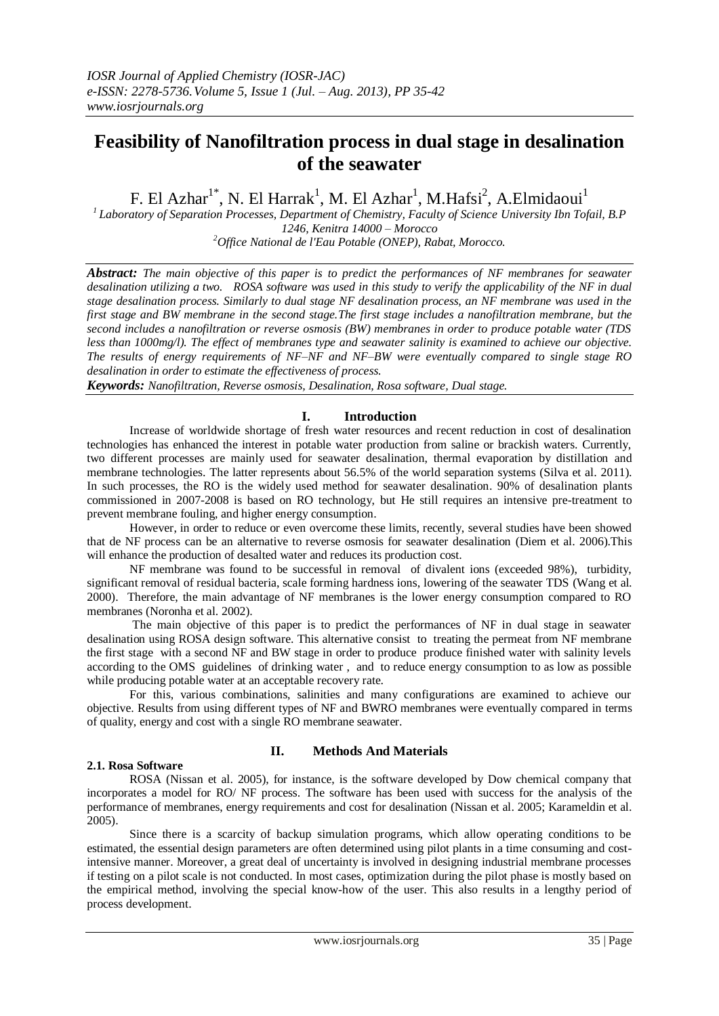# **Feasibility of Nanofiltration process in dual stage in desalination of the seawater**

F. El Azhar<sup>1\*</sup>, N. El Harrak<sup>1</sup>, M. El Azhar<sup>1</sup>, M.Hafsi<sup>2</sup>, A.Elmidaoui<sup>1</sup>

*1 Laboratory of Separation Processes, Department of Chemistry, Faculty of Science University Ibn Tofail, B.P 1246, Kenitra 14000 – Morocco <sup>2</sup>Office National de l'Eau Potable (ONEP), Rabat, Morocco.*

*Abstract: The main objective of this paper is to predict the performances of NF membranes for seawater desalination utilizing a two. ROSA software was used in this study to verify the applicability of the NF in dual stage desalination process. Similarly to dual stage NF desalination process, an NF membrane was used in the first stage and BW membrane in the second stage.The first stage includes a nanofiltration membrane, but the second includes a nanofiltration or reverse osmosis (BW) membranes in order to produce potable water (TDS less than 1000mg/l). The effect of membranes type and seawater salinity is examined to achieve our objective. The results of energy requirements of NF–NF and NF–BW were eventually compared to single stage RO desalination in order to estimate the effectiveness of process.*

*Keywords: Nanofiltration, Reverse osmosis, Desalination, Rosa software, Dual stage.*

# **I. Introduction**

Increase of worldwide shortage of fresh water resources and recent reduction in cost of desalination technologies has enhanced the interest in potable water production from saline or brackish waters. Currently, two different processes are mainly used for seawater desalination, thermal evaporation by distillation and membrane technologies. The latter represents about 56.5% of the world separation systems (Silva et al. 2011). In such processes, the RO is the widely used method for seawater desalination. 90% of desalination plants commissioned in 2007-2008 is based on RO technology, but He still requires an intensive pre-treatment to prevent membrane fouling, and higher energy consumption.

However, in order to reduce or even overcome these limits, recently, several studies have been showed that de NF process can be an alternative to reverse osmosis for seawater desalination (Diem et al. 2006).This will enhance the production of desalted water and reduces its production cost.

NF membrane was found to be successful in removal of divalent ions (exceeded 98%), turbidity, significant removal of residual bacteria, scale forming hardness ions, lowering of the seawater TDS (Wang et al. 2000). Therefore, the main advantage of NF membranes is the lower energy consumption compared to RO membranes (Noronha et al. 2002).

The main objective of this paper is to predict the performances of NF in dual stage in seawater desalination using ROSA design software. This alternative consist to treating the permeat from NF membrane the first stage with a second NF and BW stage in order to produce produce finished water with salinity levels according to the OMS guidelines of drinking water , and to reduce energy consumption to as low as possible while producing potable water at an acceptable recovery rate.

For this, various combinations, salinities and many configurations are examined to achieve our objective. Results from using different types of NF and BWRO membranes were eventually compared in terms of quality, energy and cost with a single RO membrane seawater.

# **2.1. Rosa Software**

# **II. Methods And Materials**

ROSA (Nissan et al. 2005), for instance, is the software developed by Dow chemical company that incorporates a model for RO/ NF process. The software has been used with success for the analysis of the performance of membranes, energy requirements and cost for desalination (Nissan et al. 2005; Karameldin et al. 2005).

Since there is a scarcity of backup simulation programs, which allow operating conditions to be estimated, the essential design parameters are often determined using pilot plants in a time consuming and costintensive manner. Moreover, a great deal of uncertainty is involved in designing industrial membrane processes if testing on a pilot scale is not conducted. In most cases, optimization during the pilot phase is mostly based on the empirical method, involving the special know-how of the user. This also results in a lengthy period of process development.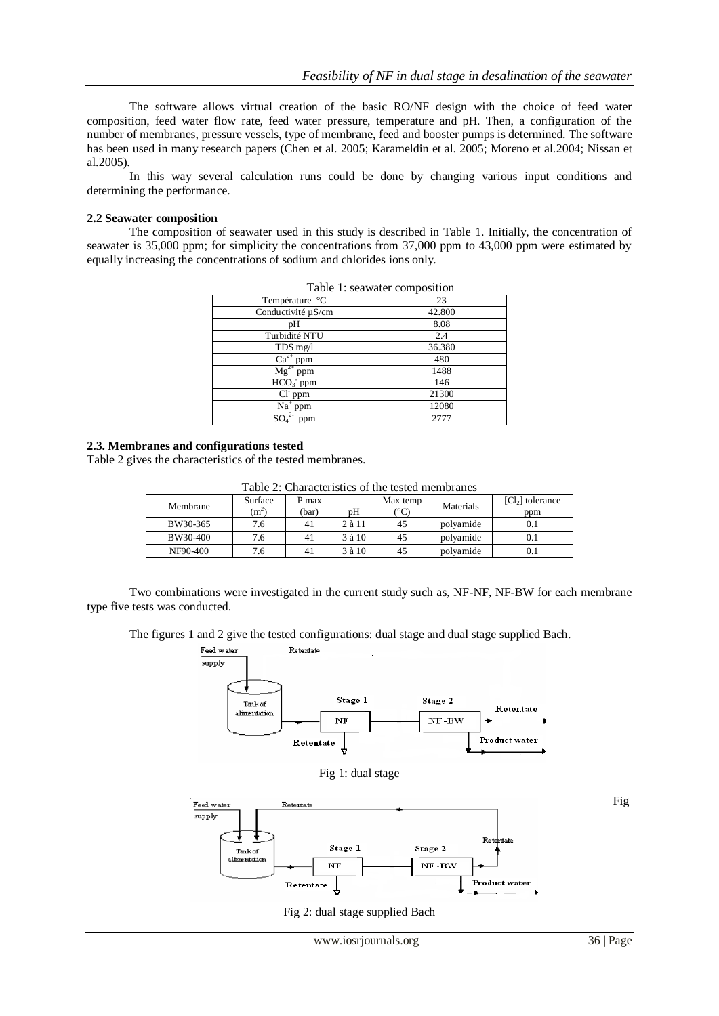The software allows virtual creation of the basic RO/NF design with the choice of feed water composition, feed water flow rate, feed water pressure, temperature and pH. Then, a configuration of the number of membranes, pressure vessels, type of membrane, feed and booster pumps is determined. The software has been used in many research papers (Chen et al. 2005; Karameldin et al. 2005; Moreno et al.2004; Nissan et al.2005).

In this way several calculation runs could be done by changing various input conditions and determining the performance.

#### **2.2 Seawater composition**

The composition of seawater used in this study is described in Table 1. Initially, the concentration of seawater is 35,000 ppm; for simplicity the concentrations from 37,000 ppm to 43,000 ppm were estimated by equally increasing the concentrations of sodium and chlorides ions only.

| Température °C                      | 23     |  |  |  |
|-------------------------------------|--------|--|--|--|
| Conductivité µS/cm                  | 42.800 |  |  |  |
| pН                                  | 8.08   |  |  |  |
| Turbidité NTU                       | 2.4    |  |  |  |
| TDS mg/l                            | 36.380 |  |  |  |
| $Ca^{2+}$ ppm                       | 480    |  |  |  |
| $Mg^{2+}$ ppm                       | 1488   |  |  |  |
| $HCO3$ ppm                          | 146    |  |  |  |
| $ClT$ ppm                           | 21300  |  |  |  |
| $Na+$ ppm                           | 12080  |  |  |  |
| SO <sub>4</sub> <sup>2</sup><br>ppm | 2777   |  |  |  |

Table 1: seawater composition

#### **2.3. Membranes and configurations tested**

Table 2 gives the characteristics of the tested membranes.

Table 2: Characteristics of the tested membranes

| Membrane | Surface<br>$(m^2)$ | P max<br>(bar) | pΗ         | Max temp<br>(°C | Materials | $[Cl2]$ tolerance<br>ppm |
|----------|--------------------|----------------|------------|-----------------|-----------|--------------------------|
| BW30-365 | 7.6                | 41             | $2$ à $11$ | 45              | polyamide |                          |
| BW30-400 | 7.6                | 41             | 3 à 10     | 45              | polvamide |                          |
| NF90-400 | 7.6                | 41             | $3$ à $10$ | 45              | polvamide |                          |

Two combinations were investigated in the current study such as, NF-NF, NF-BW for each membrane type five tests was conducted.

The figures 1 and 2 give the tested configurations: dual stage and dual stage supplied Bach.



Fig 2: dual stage supplied Bach

Fig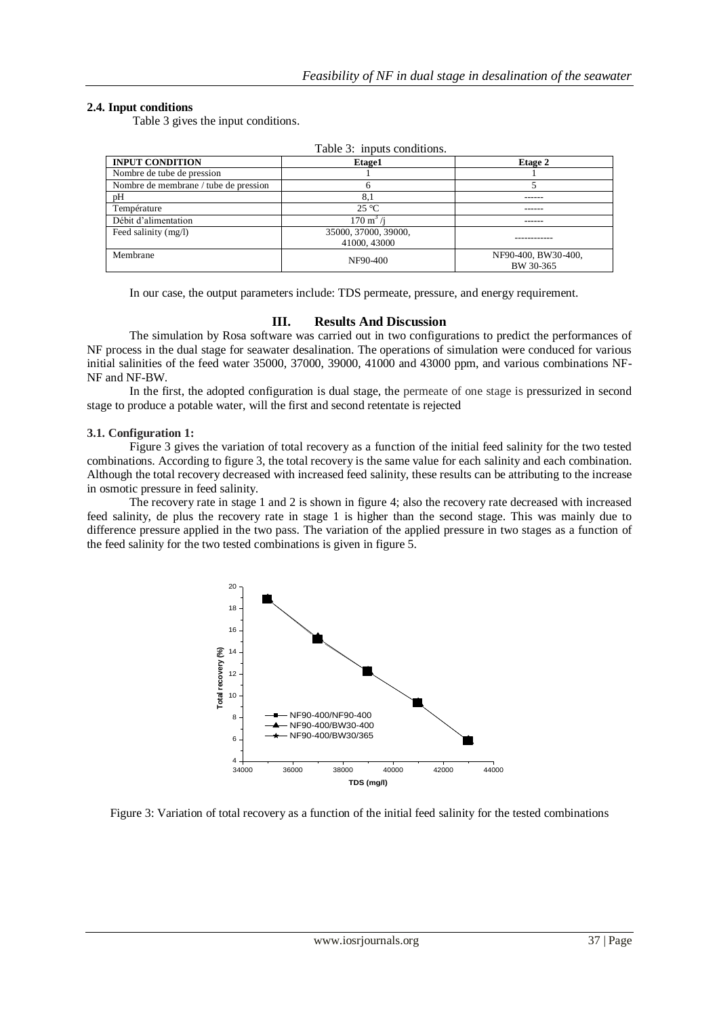## **2.4. Input conditions**

Table 3 gives the input conditions.

| Table 3: inputs conditions.           |                                      |                                  |  |  |  |  |
|---------------------------------------|--------------------------------------|----------------------------------|--|--|--|--|
| <b>INPUT CONDITION</b>                | Etage1                               | Etage 2                          |  |  |  |  |
| Nombre de tube de pression            |                                      |                                  |  |  |  |  |
| Nombre de membrane / tube de pression |                                      |                                  |  |  |  |  |
| pΗ                                    | 8.1                                  |                                  |  |  |  |  |
| Température                           | $25^{\circ}$ C                       |                                  |  |  |  |  |
| Débit d'alimentation                  | $170 \text{ m}^3$ /i                 |                                  |  |  |  |  |
| Feed salinity (mg/l)                  | 35000, 37000, 39000,<br>41000, 43000 |                                  |  |  |  |  |
| Membrane                              | NF90-400                             | NF90-400, BW30-400,<br>BW 30-365 |  |  |  |  |

In our case, the output parameters include: TDS permeate, pressure, and energy requirement.

## **III. Results And Discussion**

The simulation by Rosa software was carried out in two configurations to predict the performances of NF process in the dual stage for seawater desalination. The operations of simulation were conduced for various initial salinities of the feed water 35000, 37000, 39000, 41000 and 43000 ppm, and various combinations NF-NF and NF-BW.

In the first, the adopted configuration is dual stage, the permeate of one stage is pressurized in second stage to produce a potable water, will the first and second retentate is rejected

### **3.1. Configuration 1:**

Figure 3 gives the variation of total recovery as a function of the initial feed salinity for the two tested combinations. According to figure 3, the total recovery is the same value for each salinity and each combination. Although the total recovery decreased with increased feed salinity, these results can be attributing to the increase in osmotic pressure in feed salinity.

The recovery rate in stage 1 and 2 is shown in figure 4; also the recovery rate decreased with increased feed salinity, de plus the recovery rate in stage 1 is higher than the second stage. This was mainly due to difference pressure applied in the two pass. The variation of the applied pressure in two stages as a function of the feed salinity for the two tested combinations is given in figure 5.



Figure 3: Variation of total recovery as a function of the initial feed salinity for the tested combinations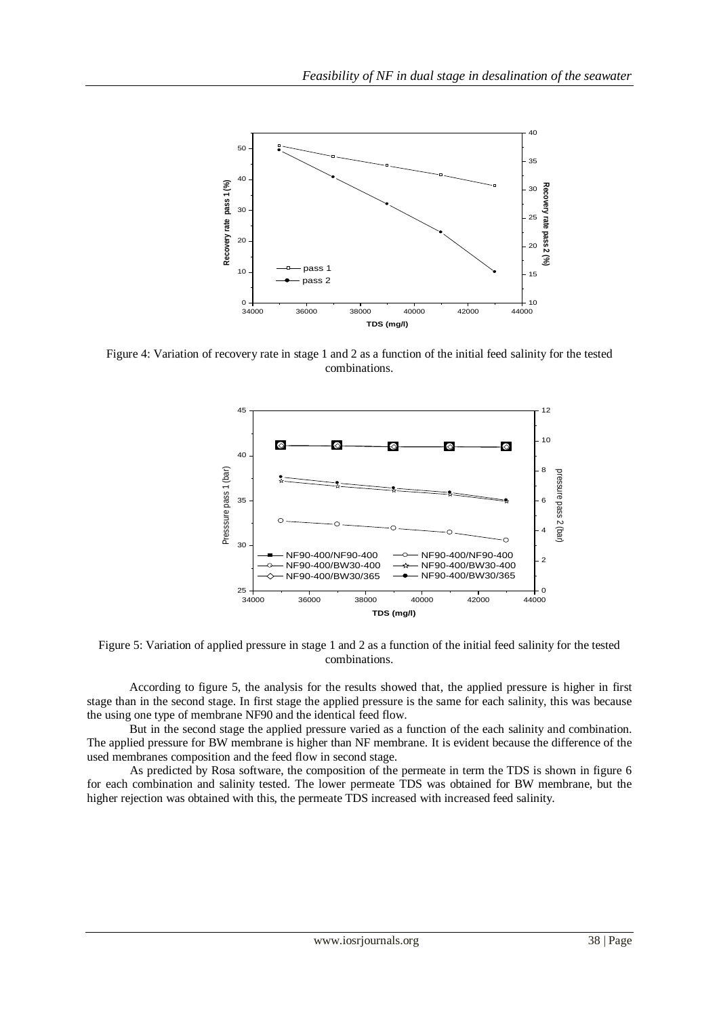

Figure 4: Variation of recovery rate in stage 1 and 2 as a function of the initial feed salinity for the tested combinations.



Figure 5: Variation of applied pressure in stage 1 and 2 as a function of the initial feed salinity for the tested combinations.

According to figure 5, the analysis for the results showed that, the applied pressure is higher in first stage than in the second stage. In first stage the applied pressure is the same for each salinity, this was because the using one type of membrane NF90 and the identical feed flow.

But in the second stage the applied pressure varied as a function of the each salinity and combination. The applied pressure for BW membrane is higher than NF membrane. It is evident because the difference of the used membranes composition and the feed flow in second stage.

As predicted by Rosa software, the composition of the permeate in term the TDS is shown in figure 6 for each combination and salinity tested. The lower permeate TDS was obtained for BW membrane, but the higher rejection was obtained with this, the permeate TDS increased with increased feed salinity.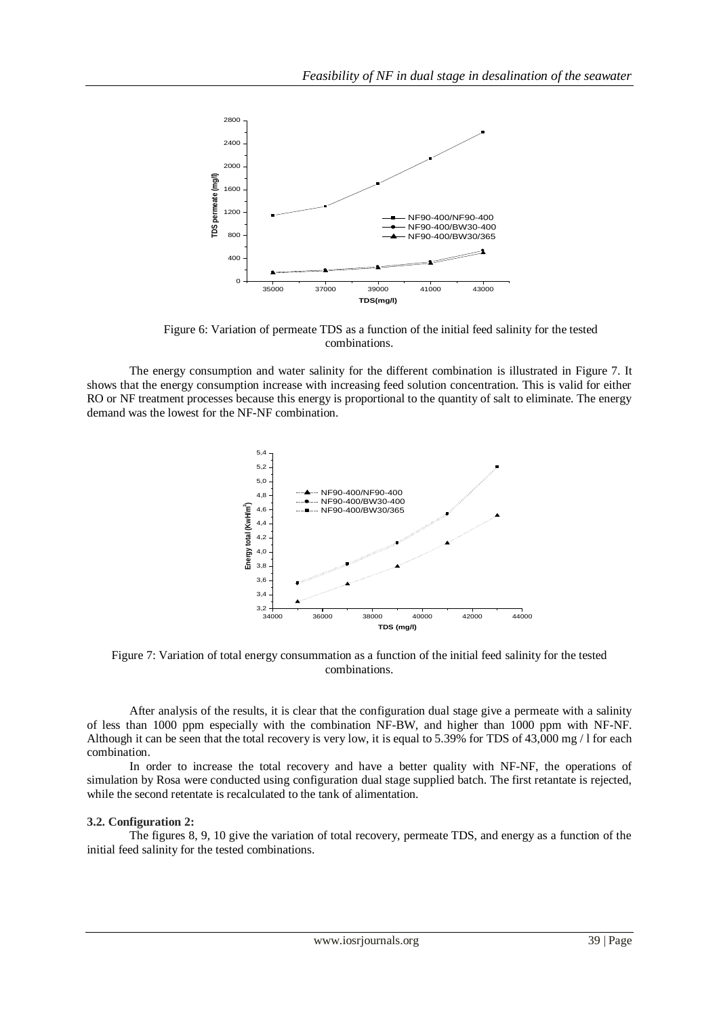

Figure 6: Variation of permeate TDS as a function of the initial feed salinity for the tested combinations.

The energy consumption and water salinity for the different combination is illustrated in Figure 7. It shows that the energy consumption increase with increasing feed solution concentration. This is valid for either RO or NF treatment processes because this energy is proportional to the quantity of salt to eliminate. The energy demand was the lowest for the NF-NF combination.



Figure 7: Variation of total energy consummation as a function of the initial feed salinity for the tested combinations.

After analysis of the results, it is clear that the configuration dual stage give a permeate with a salinity of less than 1000 ppm especially with the combination NF-BW, and higher than 1000 ppm with NF-NF. Although it can be seen that the total recovery is very low, it is equal to 5.39% for TDS of 43,000 mg / l for each combination.

In order to increase the total recovery and have a better quality with NF-NF, the operations of simulation by Rosa were conducted using configuration dual stage supplied batch. The first retantate is rejected, while the second retentate is recalculated to the tank of alimentation.

### **3.2. Configuration 2:**

The figures 8, 9, 10 give the variation of total recovery, permeate TDS, and energy as a function of the initial feed salinity for the tested combinations.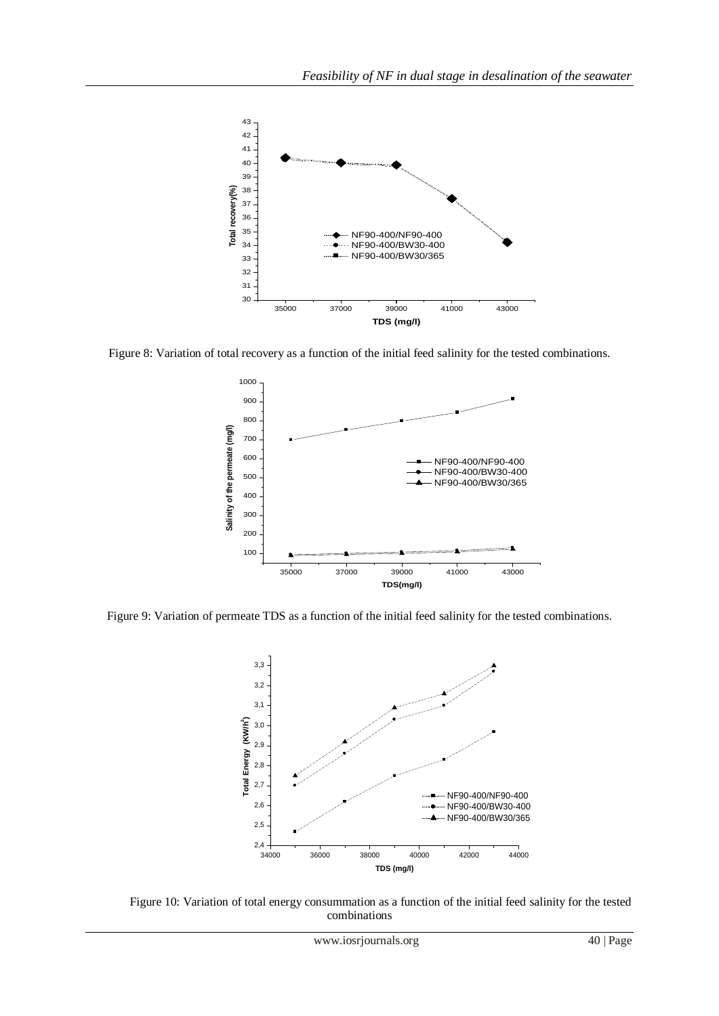

Figure 8: Variation of total recovery as a function of the initial feed salinity for the tested combinations.



Figure 9: Variation of permeate TDS as a function of the initial feed salinity for the tested combinations.



Figure 10: Variation of total energy consummation as a function of the initial feed salinity for the tested combinations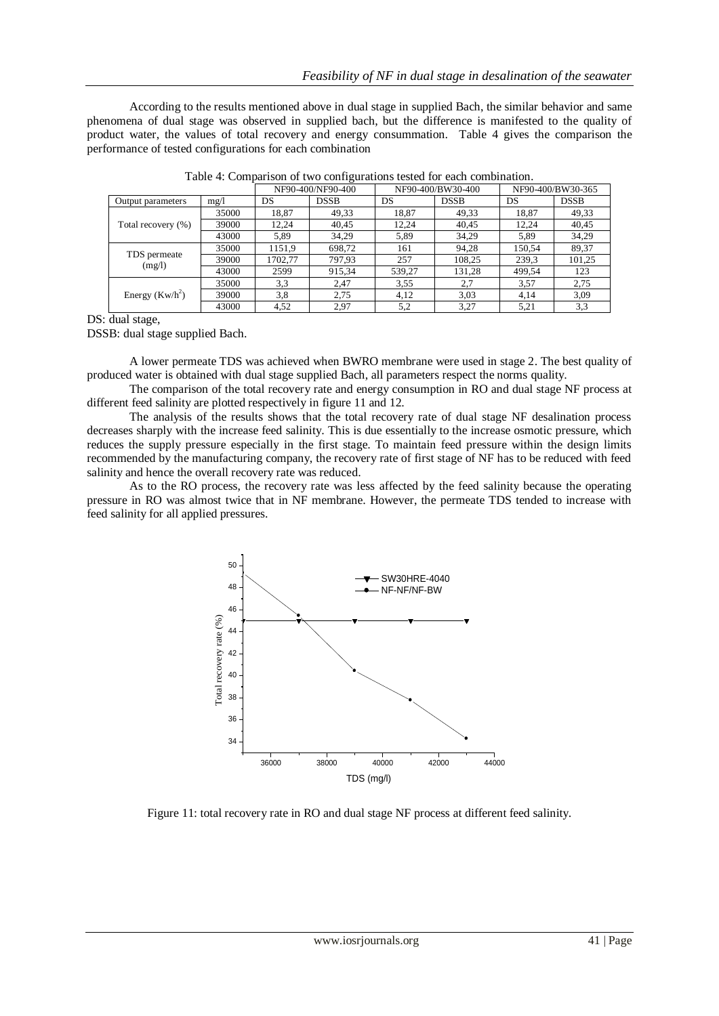According to the results mentioned above in dual stage in supplied Bach, the similar behavior and same phenomena of dual stage was observed in supplied bach, but the difference is manifested to the quality of product water, the values of total recovery and energy consummation. Table 4 gives the comparison the performance of tested configurations for each combination

|                        |       | NF90-400/NF90-400 |             | NF90-400/BW30-400 |             | NF90-400/BW30-365 |             |
|------------------------|-------|-------------------|-------------|-------------------|-------------|-------------------|-------------|
| Output parameters      | mg/l  | DS                | <b>DSSB</b> | DS                | <b>DSSB</b> | DS                | <b>DSSB</b> |
| Total recovery (%)     | 35000 | 18.87             | 49,33       | 18.87             | 49.33       | 18.87             | 49,33       |
|                        | 39000 | 12.24             | 40,45       | 12.24             | 40,45       | 12.24             | 40,45       |
|                        | 43000 | 5,89              | 34,29       | 5,89              | 34,29       | 5.89              | 34,29       |
| TDS permeate<br>(mg/l) | 35000 | 1151.9            | 698,72      | 161               | 94,28       | 150.54            | 89,37       |
|                        | 39000 | 1702.77           | 797,93      | 257               | 108,25      | 239.3             | 101,25      |
|                        | 43000 | 2599              | 915,34      | 539.27            | 131,28      | 499.54            | 123         |
| Energy $(Kw/h^2)$      | 35000 | 3.3               | 2.47        | 3.55              | 2,7         | 3,57              | 2,75        |
|                        | 39000 | 3,8               | 2.75        | 4,12              | 3,03        | 4.14              | 3,09        |
|                        | 43000 | 4,52              | 2.97        | 5,2               | 3,27        | 5.21              | 3,3         |

Table 4: Comparison of two configurations tested for each combination.

DS: dual stage,

DSSB: dual stage supplied Bach.

A lower permeate TDS was achieved when BWRO membrane were used in stage 2. The best quality of produced water is obtained with dual stage supplied Bach, all parameters respect the norms quality.

The comparison of the total recovery rate and energy consumption in RO and dual stage NF process at different feed salinity are plotted respectively in figure 11 and 12.

The analysis of the results shows that the total recovery rate of dual stage NF desalination process decreases sharply with the increase feed salinity. This is due essentially to the increase osmotic pressure, which reduces the supply pressure especially in the first stage. To maintain feed pressure within the design limits recommended by the manufacturing company, the recovery rate of first stage of NF has to be reduced with feed salinity and hence the overall recovery rate was reduced.

As to the RO process, the recovery rate was less affected by the feed salinity because the operating pressure in RO was almost twice that in NF membrane. However, the permeate TDS tended to increase with feed salinity for all applied pressures.



Figure 11: total recovery rate in RO and dual stage NF process at different feed salinity.